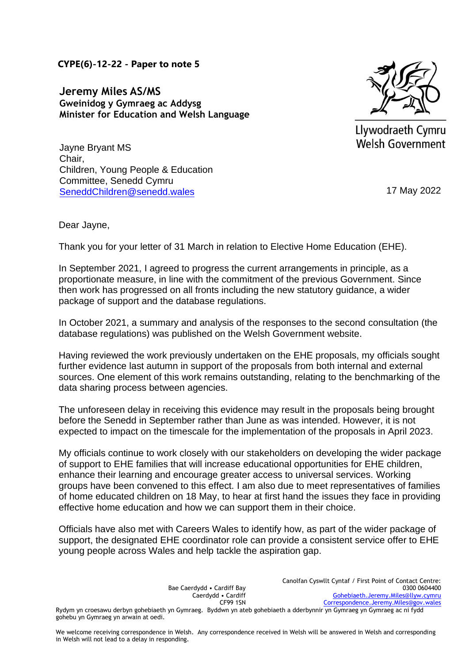**CYPE(6)-12-22 - Paper to note 5**

**Jeremy Miles AS/MS Gweinidog y Gymraeg ac Addysg Minister for Education and Welsh Language** 



Llywodraeth Cymru Welsh Government

Jayne Bryant MS [Chair,](mailto:SeneddChildren@senedd.wales)  Children, Young People & Education Committee, Senedd Cymru SeneddChildren@senedd.wales 17 May 2022

Dear Jayne,

Thank you for your letter of 31 March in relation to Elective Home Education (EHE).

In September 2021, I agreed to progress the current arrangements in principle, as a proportionate measure, in line with the commitment of the previous Government. Since then work has progressed on all fronts including the new statutory guidance, a wider package of support and the database regulations.

In October 2021, a summary and analysis of the responses to the second consultation (the database regulations) was published on the Welsh Government website.

Having reviewed the work previously undertaken on the EHE proposals, my officials sought further evidence last autumn in support of the proposals from both internal and external sources. One element of this work remains outstanding, relating to the benchmarking of the data sharing process between agencies.

The unforeseen delay in receiving this evidence may result in the proposals being brought before the Senedd in September rather than June as was intended. However, it is not expected to impact on the timescale for the implementation of the proposals in April 2023.

My officials continue to work closely with our stakeholders on developing the wider package of support to EHE families that will increase educational opportunities for EHE children, enhance their learning and encourage greater access to universal services. Working groups have been convened to this effect. I am also due to meet representatives of families of home educated children on 18 May, to hear at first hand the issues they face in providing effective home education and how we can support them in their choice.

Officials have also met with Careers Wales to identify how, as part of the wider package of support, the designated EHE coordinator role can provide a consistent service offer to EHE young people across Wales and help tackle the aspiration gap.